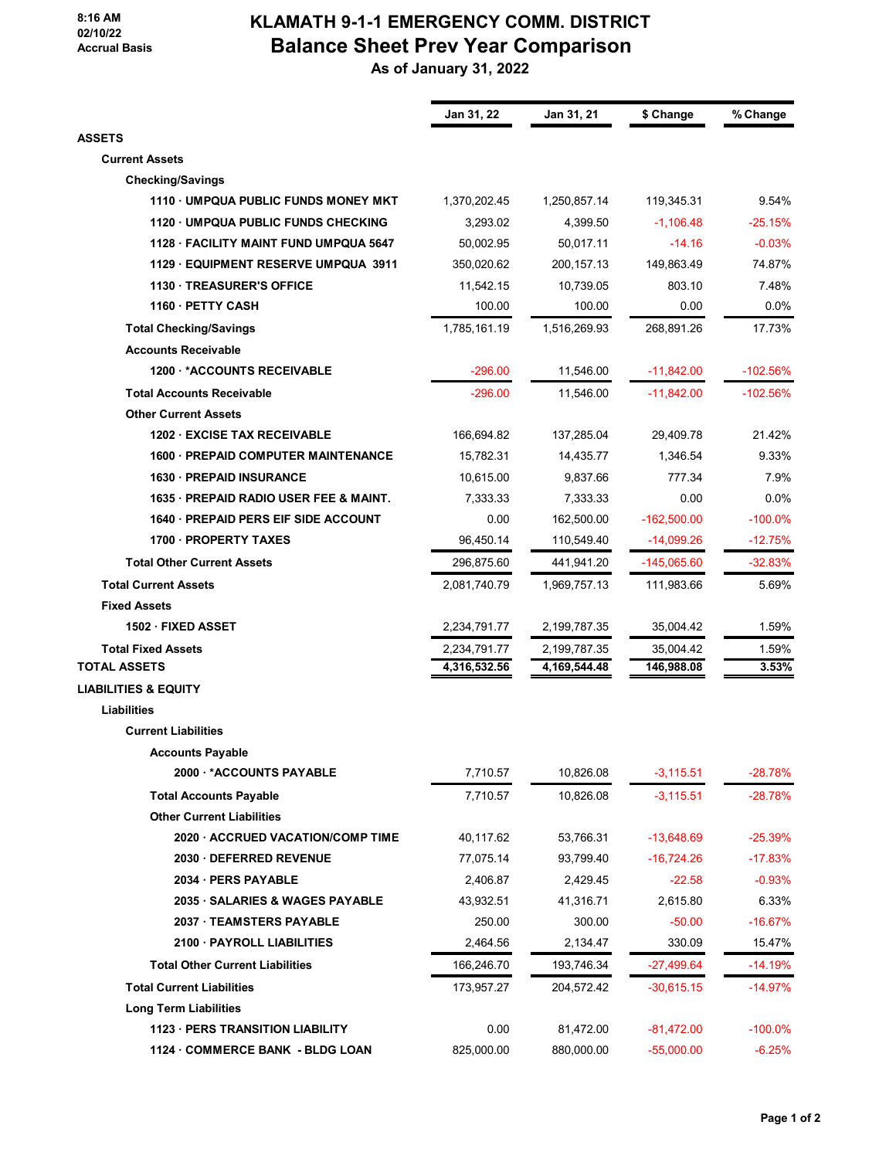## **8:16 AM 02/10/22 Accrual Basis**

## **KLAMATH 9-1-1 EMERGENCY COMM. DISTRICT Balance Sheet Prev Year Comparison**

 **As of January 31, 2022**

|                                        | Jan 31, 22   | Jan 31, 21   | \$ Change     | % Change   |
|----------------------------------------|--------------|--------------|---------------|------------|
| <b>ASSETS</b>                          |              |              |               |            |
| <b>Current Assets</b>                  |              |              |               |            |
| <b>Checking/Savings</b>                |              |              |               |            |
| 1110 UMPQUA PUBLIC FUNDS MONEY MKT     | 1,370,202.45 | 1,250,857.14 | 119,345.31    | 9.54%      |
| 1120 UMPQUA PUBLIC FUNDS CHECKING      | 3,293.02     | 4,399.50     | $-1,106.48$   | $-25.15%$  |
| 1128 · FACILITY MAINT FUND UMPQUA 5647 | 50,002.95    | 50,017.11    | $-14.16$      | $-0.03%$   |
| 1129 · EQUIPMENT RESERVE UMPQUA 3911   | 350,020.62   | 200, 157. 13 | 149,863.49    | 74.87%     |
| <b>1130 TREASURER'S OFFICE</b>         | 11,542.15    | 10,739.05    | 803.10        | 7.48%      |
| 1160 · PETTY CASH                      | 100.00       | 100.00       | 0.00          | 0.0%       |
| <b>Total Checking/Savings</b>          | 1,785,161.19 | 1,516,269.93 | 268,891.26    | 17.73%     |
| <b>Accounts Receivable</b>             |              |              |               |            |
| 1200 *ACCOUNTS RECEIVABLE              | $-296.00$    | 11,546.00    | $-11,842.00$  | $-102.56%$ |
| <b>Total Accounts Receivable</b>       | $-296.00$    | 11,546.00    | $-11,842.00$  | $-102.56%$ |
| <b>Other Current Assets</b>            |              |              |               |            |
| <b>1202 EXCISE TAX RECEIVABLE</b>      | 166,694.82   | 137,285.04   | 29,409.78     | 21.42%     |
| 1600 - PREPAID COMPUTER MAINTENANCE    | 15,782.31    | 14,435.77    | 1,346.54      | 9.33%      |
| <b>1630 - PREPAID INSURANCE</b>        | 10,615.00    | 9,837.66     | 777.34        | 7.9%       |
| 1635 PREPAID RADIO USER FEE & MAINT.   | 7,333.33     | 7,333.33     | 0.00          | 0.0%       |
| 1640 - PREPAID PERS EIF SIDE ACCOUNT   | 0.00         | 162,500.00   | $-162,500.00$ | $-100.0\%$ |
| 1700 PROPERTY TAXES                    | 96,450.14    | 110,549.40   | $-14,099.26$  | $-12.75%$  |
| <b>Total Other Current Assets</b>      | 296,875.60   | 441,941.20   | -145,065.60   | $-32.83%$  |
| <b>Total Current Assets</b>            | 2,081,740.79 | 1,969,757.13 | 111,983.66    | 5.69%      |
| <b>Fixed Assets</b>                    |              |              |               |            |
| 1502 · FIXED ASSET                     | 2,234,791.77 | 2,199,787.35 | 35,004.42     | 1.59%      |
| <b>Total Fixed Assets</b>              | 2,234,791.77 | 2,199,787.35 | 35,004.42     | 1.59%      |
| <b>TOTAL ASSETS</b>                    | 4,316,532.56 | 4,169,544.48 | 146,988.08    | 3.53%      |
| <b>LIABILITIES &amp; EQUITY</b>        |              |              |               |            |
| Liabilities                            |              |              |               |            |
| <b>Current Liabilities</b>             |              |              |               |            |
| <b>Accounts Payable</b>                |              |              |               |            |
| 2000 *ACCOUNTS PAYABLE                 | 7,710.57     | 10,826.08    | $-3,115.51$   | $-28.78%$  |
| <b>Total Accounts Payable</b>          | 7,710.57     | 10,826.08    | $-3,115.51$   | $-28.78%$  |
| <b>Other Current Liabilities</b>       |              |              |               |            |
| 2020 - ACCRUED VACATION/COMP TIME      | 40,117.62    | 53,766.31    | $-13,648.69$  | $-25.39%$  |
| 2030 DEFERRED REVENUE                  | 77,075.14    | 93,799.40    | $-16,724.26$  | $-17.83%$  |
| 2034 · PERS PAYABLE                    | 2,406.87     | 2,429.45     | $-22.58$      | $-0.93%$   |
| 2035 · SALARIES & WAGES PAYABLE        | 43,932.51    | 41,316.71    | 2,615.80      | 6.33%      |
| 2037 TEAMSTERS PAYABLE                 | 250.00       | 300.00       | $-50.00$      | $-16.67%$  |
| 2100 PAYROLL LIABILITIES               | 2,464.56     | 2,134.47     | 330.09        | 15.47%     |
| <b>Total Other Current Liabilities</b> | 166,246.70   | 193,746.34   | $-27,499.64$  | $-14.19%$  |
| <b>Total Current Liabilities</b>       | 173,957.27   | 204,572.42   | $-30,615.15$  | $-14.97%$  |
| <b>Long Term Liabilities</b>           |              |              |               |            |
| 1123 - PERS TRANSITION LIABILITY       | 0.00         | 81,472.00    | $-81,472.00$  | $-100.0\%$ |
| 1124 · COMMERCE BANK - BLDG LOAN       | 825,000.00   | 880,000.00   | $-55,000.00$  | $-6.25%$   |